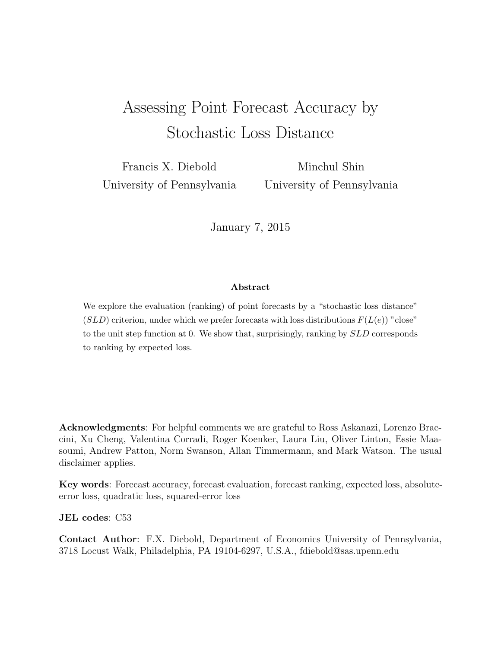# Assessing Point Forecast Accuracy by Stochastic Loss Distance

Francis X. Diebold University of Pennsylvania

Minchul Shin University of Pennsylvania

January 7, 2015

#### Abstract

We explore the evaluation (ranking) of point forecasts by a "stochastic loss distance"  $(SLD)$  criterion, under which we prefer forecasts with loss distributions  $F(L(e))$ " close" to the unit step function at 0. We show that, surprisingly, ranking by  $SLD$  corresponds to ranking by expected loss.

Acknowledgments: For helpful comments we are grateful to Ross Askanazi, Lorenzo Braccini, Xu Cheng, Valentina Corradi, Roger Koenker, Laura Liu, Oliver Linton, Essie Maasoumi, Andrew Patton, Norm Swanson, Allan Timmermann, and Mark Watson. The usual disclaimer applies.

Key words: Forecast accuracy, forecast evaluation, forecast ranking, expected loss, absoluteerror loss, quadratic loss, squared-error loss

JEL codes: C53

Contact Author: F.X. Diebold, Department of Economics University of Pennsylvania, 3718 Locust Walk, Philadelphia, PA 19104-6297, U.S.A., fdiebold@sas.upenn.edu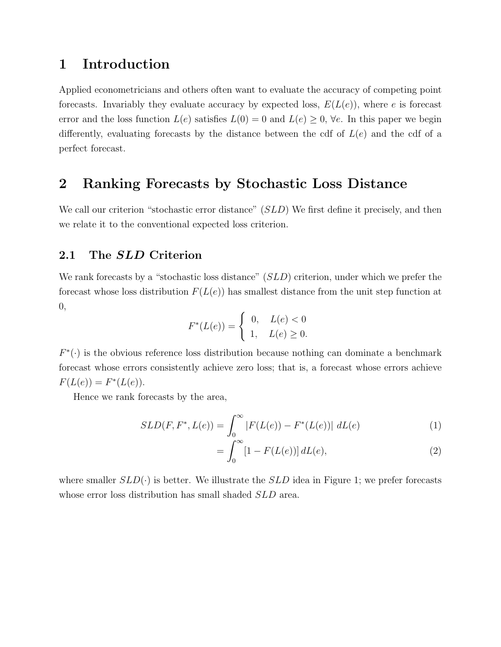# 1 Introduction

Applied econometricians and others often want to evaluate the accuracy of competing point forecasts. Invariably they evaluate accuracy by expected loss,  $E(L(e))$ , where e is forecast error and the loss function  $L(e)$  satisfies  $L(0) = 0$  and  $L(e) \geq 0$ ,  $\forall e$ . In this paper we begin differently, evaluating forecasts by the distance between the cdf of  $L(e)$  and the cdf of a perfect forecast.

## 2 Ranking Forecasts by Stochastic Loss Distance

We call our criterion "stochastic error distance" (SLD) We first define it precisely, and then we relate it to the conventional expected loss criterion.

#### 2.1 The SLD Criterion

We rank forecasts by a "stochastic loss distance" (SLD) criterion, under which we prefer the forecast whose loss distribution  $F(L(e))$  has smallest distance from the unit step function at 0,

$$
F^*(L(e)) = \begin{cases} 0, & L(e) < 0 \\ 1, & L(e) \ge 0. \end{cases}
$$

 $F^*(\cdot)$  is the obvious reference loss distribution because nothing can dominate a benchmark forecast whose errors consistently achieve zero loss; that is, a forecast whose errors achieve  $F(L(e)) = F^*(L(e)).$ 

Hence we rank forecasts by the area,

$$
SLD(F, F^*, L(e)) = \int_0^\infty |F(L(e)) - F^*(L(e))| \ dL(e) \tag{1}
$$

$$
= \int_0^\infty [1 - F(L(e))] \, dL(e), \tag{2}
$$

where smaller  $SLD(\cdot)$  is better. We illustrate the  $SLD$  idea in Figure [1;](#page-2-0) we prefer forecasts whose error loss distribution has small shaded  $SLD$  area.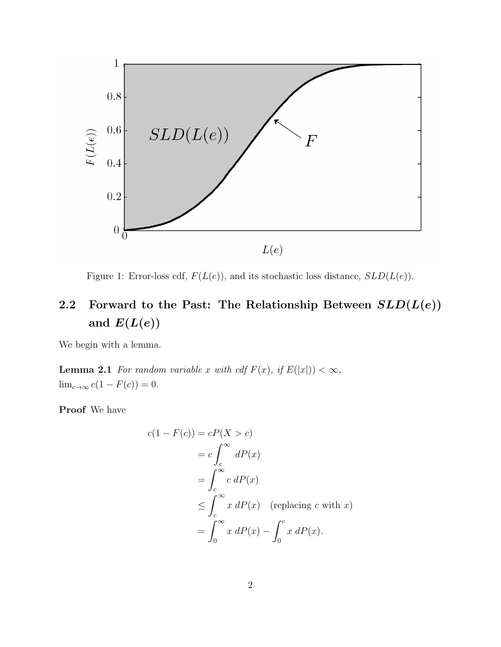<span id="page-2-0"></span>

Figure 1: Error-loss cdf,  $F(L(e))$ , and its stochastic loss distance,  $SLD(L(e))$ .

# 2.2 Forward to the Past: The Relationship Between  $SLD(L(e))$ and  $E(L(e))$

<span id="page-2-1"></span>We begin with a lemma.

**Lemma 2.1** For random variable x with cdf  $F(x)$ , if  $E(|x|) < \infty$ ,  $\lim_{c\to\infty} c(1 - F(c)) = 0.$ 

Proof We have

$$
c(1 - F(c)) = cP(X > c)
$$
  
=  $c \int_{c}^{\infty} dP(x)$   
=  $\int_{c}^{\infty} c dP(x)$   
 $\leq \int_{c}^{\infty} x dP(x)$  (replacing c with x)  
=  $\int_{0}^{\infty} x dP(x) - \int_{0}^{c} x dP(x)$ .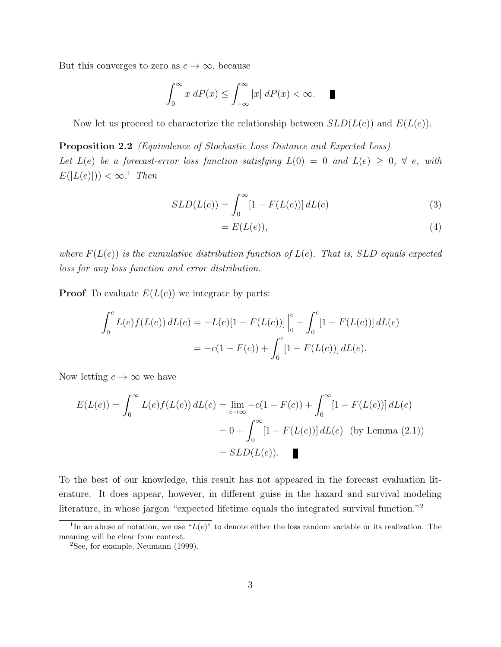But this converges to zero as  $c \to \infty$ , because

$$
\int_0^\infty x \, dP(x) \le \int_{-\infty}^\infty |x| \, dP(x) < \infty. \quad \blacksquare
$$

Now let us proceed to characterize the relationship between  $SLD(L(e))$  and  $E(L(e))$ .

Proposition 2.2 (Equivalence of Stochastic Loss Distance and Expected Loss) Let  $L(e)$  be a forecast-error loss function satisfying  $L(0) = 0$  and  $L(e) \geq 0$ ,  $\forall e$ , with  $E(|L(e)|)) < \infty$ <sup>[1](#page-3-0)</sup> Then

$$
SLD(L(e)) = \int_0^\infty [1 - F(L(e))] dL(e)
$$
\n(3)

$$
=E(L(e)),\t\t(4)
$$

where  $F(L(e))$  is the cumulative distribution function of  $L(e)$ . That is, SLD equals expected loss for any loss function and error distribution.

**Proof** To evaluate  $E(L(e))$  we integrate by parts:

$$
\int_0^c L(e)f(L(e)) dL(e) = -L(e)[1 - F(L(e))] \Big|_0^c + \int_0^c [1 - F(L(e))] dL(e)
$$
  
= 
$$
-c(1 - F(c)) + \int_0^c [1 - F(L(e))] dL(e).
$$

Now letting  $c \to \infty$  we have

$$
E(L(e)) = \int_0^\infty L(e)f(L(e)) dL(e) = \lim_{c \to \infty} -c(1 - F(c)) + \int_0^\infty [1 - F(L(e))] dL(e)
$$
  
=  $0 + \int_0^\infty [1 - F(L(e))] dL(e)$  (by Lemma (2.1))  
=  $SLD(L(e))$ .

To the best of our knowledge, this result has not appeared in the forecast evaluation literature. It does appear, however, in different guise in the hazard and survival modeling literature, in whose jargon "expected lifetime equals the integrated survival function."[2](#page-3-1)

<span id="page-3-0"></span><sup>&</sup>lt;sup>1</sup>In an abuse of notation, we use " $L(e)$ " to denote either the loss random variable or its realization. The meaning will be clear from context.

<span id="page-3-1"></span><sup>2</sup>See, for example, [Neumann](#page-5-0) [\(1999\)](#page-5-0).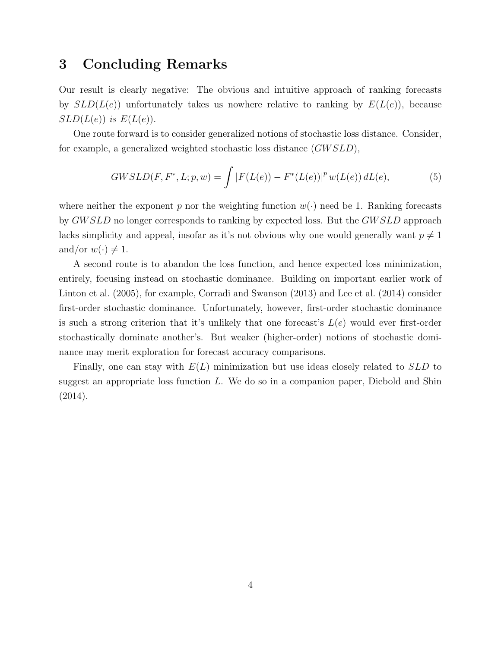### 3 Concluding Remarks

Our result is clearly negative: The obvious and intuitive approach of ranking forecasts by  $SLD(L(e))$  unfortunately takes us nowhere relative to ranking by  $E(L(e))$ , because  $SLD(L(e))$  is  $E(L(e))$ .

One route forward is to consider generalized notions of stochastic loss distance. Consider, for example, a generalized weighted stochastic loss distance (GW SLD),

$$
GWSLD(F, F^*, L; p, w) = \int |F(L(e)) - F^*(L(e))|^p w(L(e)) dL(e), \tag{5}
$$

where neither the exponent p nor the weighting function  $w(\cdot)$  need be 1. Ranking forecasts by GW SLD no longer corresponds to ranking by expected loss. But the GW SLD approach lacks simplicity and appeal, insofar as it's not obvious why one would generally want  $p \neq 1$ and/or  $w(\cdot) \neq 1$ .

A second route is to abandon the loss function, and hence expected loss minimization, entirely, focusing instead on stochastic dominance. Building on important earlier work of [Linton et al.](#page-5-1) [\(2005\)](#page-5-1), for example, [Corradi and Swanson](#page-5-2) [\(2013\)](#page-5-2) and [Lee et al.](#page-5-3) [\(2014\)](#page-5-3) consider first-order stochastic dominance. Unfortunately, however, first-order stochastic dominance is such a strong criterion that it's unlikely that one forecast's  $L(e)$  would ever first-order stochastically dominate another's. But weaker (higher-order) notions of stochastic dominance may merit exploration for forecast accuracy comparisons.

Finally, one can stay with  $E(L)$  minimization but use ideas closely related to  $SLD$  to suggest an appropriate loss function  $L$ . We do so in a companion paper, [Diebold and Shin](#page-5-4) [\(2014\)](#page-5-4).